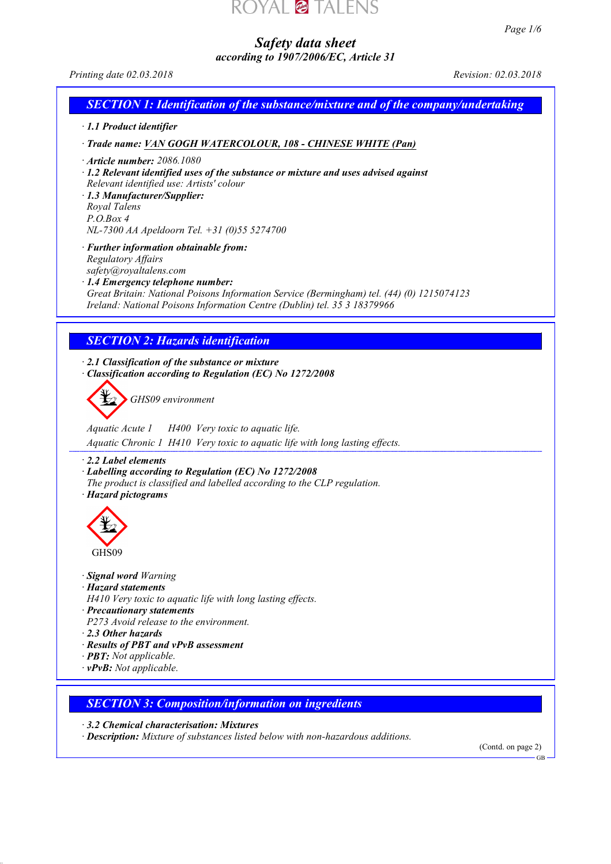# YAL **@ TALEN**

*Safety data sheet according to 1907/2006/EC, Article 31* *Page 1/6*

*Printing date 02.03.2018 Revision: 02.03.2018*

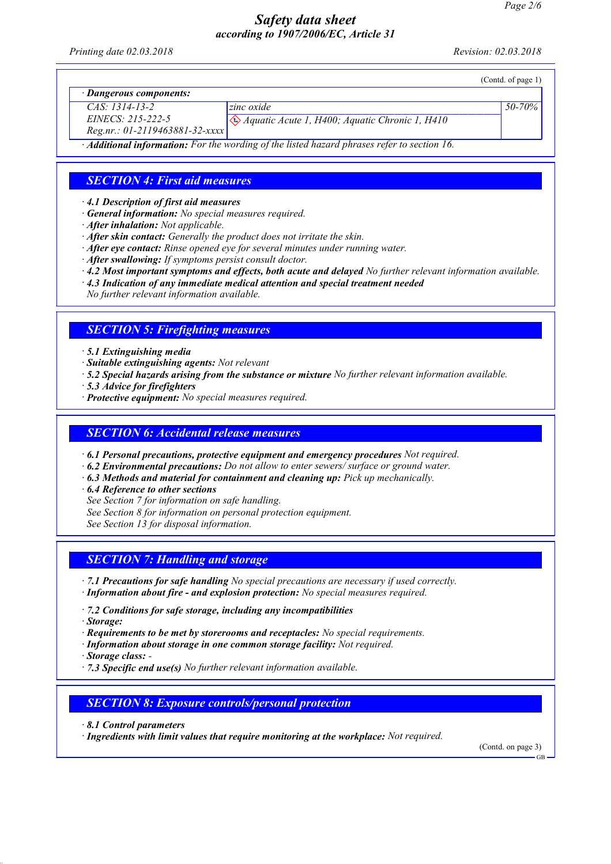*Printing date 02.03.2018 Revision: 02.03.2018*

|                                  |                                                                                                          | (Cond. of page 1) |
|----------------------------------|----------------------------------------------------------------------------------------------------------|-------------------|
| · Dangerous components:          |                                                                                                          |                   |
| $CAS: 1314-13-2$                 | zinc oxide                                                                                               | $50 - 70\%$       |
| $EINECS: 215-222-5$              | $\bigotimes$ Aquatic Acute 1, H400; Aquatic Chronic 1, H410                                              |                   |
| $Reg.nr.: 01-2119463881-32-xxxx$ |                                                                                                          |                   |
|                                  | $\cdot$ <b>Additional information:</b> For the wording of the listed hazard phrases refer to section 16. |                   |

## *SECTION 4: First aid measures*

*· 4.1 Description of first aid measures*

- *· General information: No special measures required.*
- *· After inhalation: Not applicable.*
- *· After skin contact: Generally the product does not irritate the skin.*
- *· After eye contact: Rinse opened eye for several minutes under running water.*
- *· After swallowing: If symptoms persist consult doctor.*
- *· 4.2 Most important symptoms and effects, both acute and delayed No further relevant information available.*
- *· 4.3 Indication of any immediate medical attention and special treatment needed*

*No further relevant information available.*

#### *SECTION 5: Firefighting measures*

#### *· 5.1 Extinguishing media*

- *· Suitable extinguishing agents: Not relevant*
- *· 5.2 Special hazards arising from the substance or mixture No further relevant information available.*
- *· 5.3 Advice for firefighters*
- *· Protective equipment: No special measures required.*

## *SECTION 6: Accidental release measures*

*· 6.1 Personal precautions, protective equipment and emergency procedures Not required.*

- *· 6.2 Environmental precautions: Do not allow to enter sewers/ surface or ground water.*
- *· 6.3 Methods and material for containment and cleaning up: Pick up mechanically.*
- *· 6.4 Reference to other sections*
- *See Section 7 for information on safe handling.*
- *See Section 8 for information on personal protection equipment.*

*See Section 13 for disposal information.*

#### *SECTION 7: Handling and storage*

- *· 7.1 Precautions for safe handling No special precautions are necessary if used correctly. · Information about fire - and explosion protection: No special measures required.*
- *· 7.2 Conditions for safe storage, including any incompatibilities*
- *· Storage:*
- *· Requirements to be met by storerooms and receptacles: No special requirements.*
- *· Information about storage in one common storage facility: Not required.*
- *· Storage class:*
- *· 7.3 Specific end use(s) No further relevant information available.*

#### *SECTION 8: Exposure controls/personal protection*

- *· 8.1 Control parameters*
- *· Ingredients with limit values that require monitoring at the workplace: Not required.*

(Contd. on page 3)

GB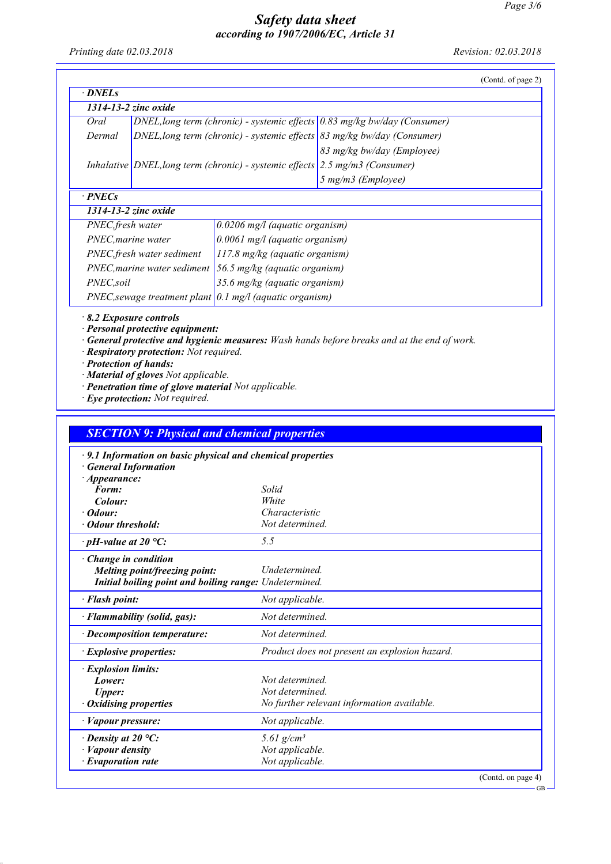GB

# *Safety data sheet according to 1907/2006/EC, Article 31*

*Printing date 02.03.2018 Revision: 02.03.2018*

|                    | 1314-13-2 zinc oxide                                                    |                                                         |                                                                             |  |
|--------------------|-------------------------------------------------------------------------|---------------------------------------------------------|-----------------------------------------------------------------------------|--|
| Oral               |                                                                         |                                                         | DNEL, long term (chronic) - systemic effects $0.83$ mg/kg bw/day (Consumer) |  |
| Dermal             | DNEL, long term (chronic) - systemic effects 83 mg/kg bw/day (Consumer) |                                                         |                                                                             |  |
|                    |                                                                         |                                                         | 83 mg/kg bw/day (Employee)                                                  |  |
|                    |                                                                         | Inhalative DNEL, long term (chronic) - systemic effects | $2.5$ mg/m3 (Consumer)                                                      |  |
|                    |                                                                         |                                                         | 5 mg/m3 (Employee)                                                          |  |
| $\cdot$ PNECs      |                                                                         |                                                         |                                                                             |  |
|                    | 1314-13-2 zinc oxide                                                    |                                                         |                                                                             |  |
| PNEC, fresh water  |                                                                         | $0.0206$ mg/l (aquatic organism)                        |                                                                             |  |
| PNEC, marine water |                                                                         | 0.0061 mg/l (aquatic organism)                          |                                                                             |  |
|                    | PNEC, fresh water sediment                                              | 117.8 mg/kg (aquatic organism)                          |                                                                             |  |
|                    | PNEC, marine water sediment                                             | 56.5 mg/kg (aquatic organism)                           |                                                                             |  |
| PNEC,soil          |                                                                         | 35.6 mg/kg (aquatic organism)                           |                                                                             |  |
|                    | $PNEC$ , sewage treatment plant 0.1 mg/l (aquatic organism)             |                                                         |                                                                             |  |

*· Personal protective equipment:*

*· General protective and hygienic measures: Wash hands before breaks and at the end of work.*

*· Respiratory protection: Not required.*

*· Protection of hands:*

*· Material of gloves Not applicable.*

*· Penetration time of glove material Not applicable.*

*· Eye protection: Not required.*

| <b>SECTION 9: Physical and chemical properties</b>                                                                     |                                               |
|------------------------------------------------------------------------------------------------------------------------|-----------------------------------------------|
| $\cdot$ 9.1 Information on basic physical and chemical properties<br><b>General Information</b><br>$\cdot$ Appearance: |                                               |
| Form:                                                                                                                  | Solid                                         |
| Colour:                                                                                                                | White                                         |
| · Odour:                                                                                                               | Characteristic                                |
| Odour threshold:                                                                                                       | Not determined.                               |
| $\cdot$ pH-value at 20 °C:                                                                                             | 5.5                                           |
| Change in condition<br>Melting point/freezing point:<br>Initial boiling point and boiling range: Undetermined.         | Undetermined.                                 |
| · Flash point:                                                                                                         | Not applicable.                               |
|                                                                                                                        |                                               |
| · Flammability (solid, gas):                                                                                           | Not determined                                |
| $\cdot$ Decomposition temperature:                                                                                     | Not determined.                               |
| $\cdot$ Explosive properties:                                                                                          | Product does not present an explosion hazard. |
| <b>Explosion limits:</b>                                                                                               |                                               |
| Lower:                                                                                                                 | Not determined.                               |
| <b>Upper:</b>                                                                                                          | Not determined.                               |
| <b>Oxidising properties</b>                                                                                            | No further relevant information available.    |
| · Vapour pressure:                                                                                                     | Not applicable.                               |
| $\cdot$ Density at 20 °C:                                                                                              | 5.61 $g/cm^3$                                 |
| · Vapour density                                                                                                       | Not applicable.                               |
| $\cdot$ Evaporation rate                                                                                               | Not applicable.                               |
|                                                                                                                        | (Contd. on page 4)                            |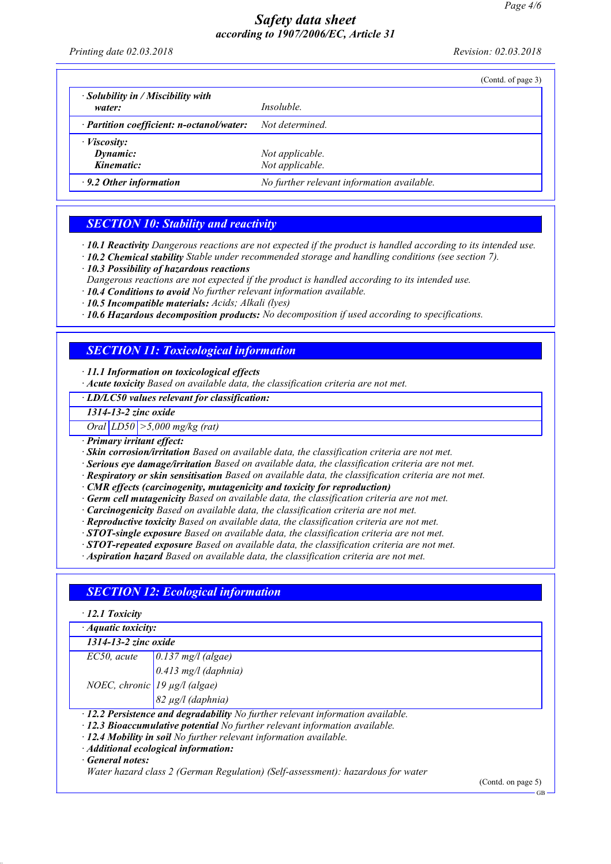*Printing date 02.03.2018 Revision: 02.03.2018*

|                                                    |                                            | (Contd. of page 3) |
|----------------------------------------------------|--------------------------------------------|--------------------|
| $\cdot$ Solubility in / Miscibility with<br>water: | <i>Insoluble.</i>                          |                    |
| · Partition coefficient: n-octanol/water:          | Not determined.                            |                    |
| $\cdot$ <i>Viscosity</i> :                         |                                            |                    |
| Dynamic:                                           | Not applicable.                            |                    |
| Kinematic:                                         | Not applicable.                            |                    |
| $\cdot$ 9.2 Other information                      | No further relevant information available. |                    |

# *SECTION 10: Stability and reactivity*

*· 10.1 Reactivity Dangerous reactions are not expected if the product is handled according to its intended use.*

*· 10.2 Chemical stability Stable under recommended storage and handling conditions (see section 7).*

- *· 10.3 Possibility of hazardous reactions*
- *Dangerous reactions are not expected if the product is handled according to its intended use.*

*· 10.4 Conditions to avoid No further relevant information available.*

*· 10.5 Incompatible materials: Acids; Alkali (lyes)*

*· 10.6 Hazardous decomposition products: No decomposition if used according to specifications.*

## *SECTION 11: Toxicological information*

*· 11.1 Information on toxicological effects*

*· Acute toxicity Based on available data, the classification criteria are not met.*

*· LD/LC50 values relevant for classification:*

*1314-13-2 zinc oxide*

*Oral LD50 >5,000 mg/kg (rat)*

*· Primary irritant effect:*

*· Skin corrosion/irritation Based on available data, the classification criteria are not met.*

- *· Serious eye damage/irritation Based on available data, the classification criteria are not met.*
- *· Respiratory or skin sensitisation Based on available data, the classification criteria are not met.*

*· CMR effects (carcinogenity, mutagenicity and toxicity for reproduction)*

- *· Germ cell mutagenicity Based on available data, the classification criteria are not met.*
- *· Carcinogenicity Based on available data, the classification criteria are not met.*

*· Reproductive toxicity Based on available data, the classification criteria are not met.*

- *· STOT-single exposure Based on available data, the classification criteria are not met.*
- *· STOT-repeated exposure Based on available data, the classification criteria are not met.*

*· Aspiration hazard Based on available data, the classification criteria are not met.*

# *SECTION 12: Ecological information*

*· 12.1 Toxicity*

*· Aquatic toxicity:*

*1314-13-2 zinc oxide*

| EC50, acute                   |                                                                                                  |
|-------------------------------|--------------------------------------------------------------------------------------------------|
|                               | $\boxed{\begin{array}{c} 0.137 \text{ mg/l (algae)}\\ 0.413 \text{ mg/l (daphnia)} \end{array}}$ |
| NOEC, chronic 19 µg/l (algae) |                                                                                                  |

*82 µg/l (daphnia)*

*· 12.2 Persistence and degradability No further relevant information available.*

*· 12.3 Bioaccumulative potential No further relevant information available.*

*· 12.4 Mobility in soil No further relevant information available.*

*· Additional ecological information:*

*· General notes:*

*Water hazard class 2 (German Regulation) (Self-assessment): hazardous for water*

(Contd. on page 5)

GB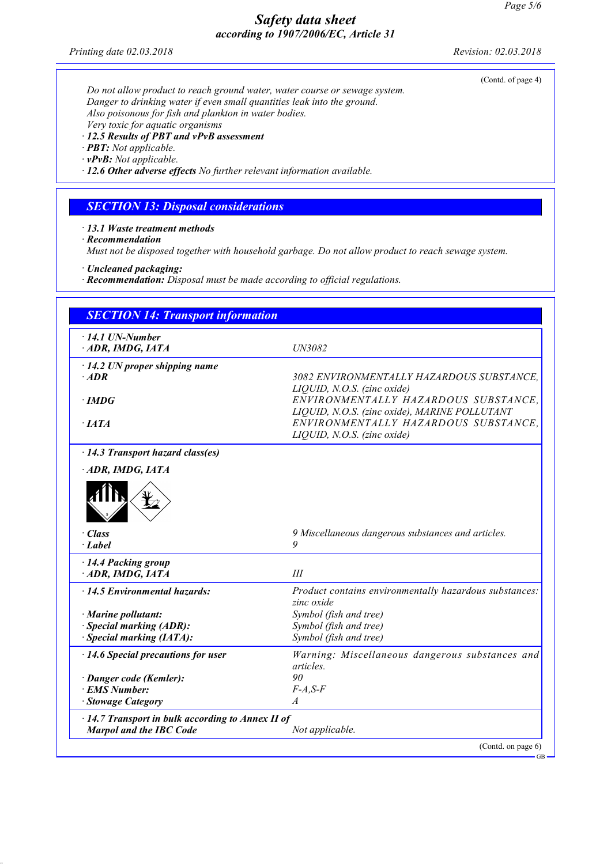*Printing date 02.03.2018 Revision: 02.03.2018*

(Contd. of page 4)

*Do not allow product to reach ground water, water course or sewage system. Danger to drinking water if even small quantities leak into the ground. Also poisonous for fish and plankton in water bodies. Very toxic for aquatic organisms · 12.5 Results of PBT and vPvB assessment*

*· PBT: Not applicable.*

*· vPvB: Not applicable.*

*· 12.6 Other adverse effects No further relevant information available.*

# *SECTION 13: Disposal considerations*

*· 13.1 Waste treatment methods*

*· Recommendation*

*Must not be disposed together with household garbage. Do not allow product to reach sewage system.*

*· Uncleaned packaging:*

*· Recommendation: Disposal must be made according to official regulations.*

| <b>SECTION 14: Transport information</b>                                            |                                                                                                                      |
|-------------------------------------------------------------------------------------|----------------------------------------------------------------------------------------------------------------------|
| $\cdot$ 14.1 UN-Number<br>ADR, IMDG, IATA                                           | UN3082                                                                                                               |
| $\cdot$ 14.2 UN proper shipping name<br>$·$ <i>ADR</i>                              | 3082 ENVIRONMENTALLY HAZARDOUS SUBSTANCE.                                                                            |
| $\cdot$ IMDG                                                                        | LIQUID, N.O.S. (zinc oxide)<br>ENVIRONMENTALLY HAZARDOUS SUBSTANCE.<br>LIQUID, N.O.S. (zinc oxide), MARINE POLLUTANT |
| $\cdot$ IATA                                                                        | ENVIRONMENTALLY HAZARDOUS SUBSTANCE.<br>LIQUID, N.O.S. (zinc oxide)                                                  |
| · 14.3 Transport hazard class(es)                                                   |                                                                                                                      |
| ADR, IMDG, IATA                                                                     |                                                                                                                      |
|                                                                                     |                                                                                                                      |
| $\cdot$ Class<br>· Label                                                            | 9 Miscellaneous dangerous substances and articles.<br>9                                                              |
| · 14.4 Packing group<br>ADR, IMDG, IATA                                             | III                                                                                                                  |
| $\cdot$ 14.5 Environmental hazards:                                                 | Product contains environmentally hazardous substances:<br>zinc oxide                                                 |
| · Marine pollutant:                                                                 | Symbol (fish and tree)                                                                                               |
| · Special marking (ADR):                                                            | Symbol (fish and tree)                                                                                               |
| · Special marking (IATA):                                                           | Symbol (fish and tree)                                                                                               |
| · 14.6 Special precautions for user                                                 | Warning: Miscellaneous dangerous substances and<br>articles.                                                         |
| · Danger code (Kemler):                                                             | 90                                                                                                                   |
| · EMS Number:                                                                       | $F-A.S-F$                                                                                                            |
| · Stowage Category                                                                  | A                                                                                                                    |
| · 14.7 Transport in bulk according to Annex II of<br><b>Marpol and the IBC Code</b> | Not applicable.                                                                                                      |
|                                                                                     | (Contd. on page 6)                                                                                                   |

GB